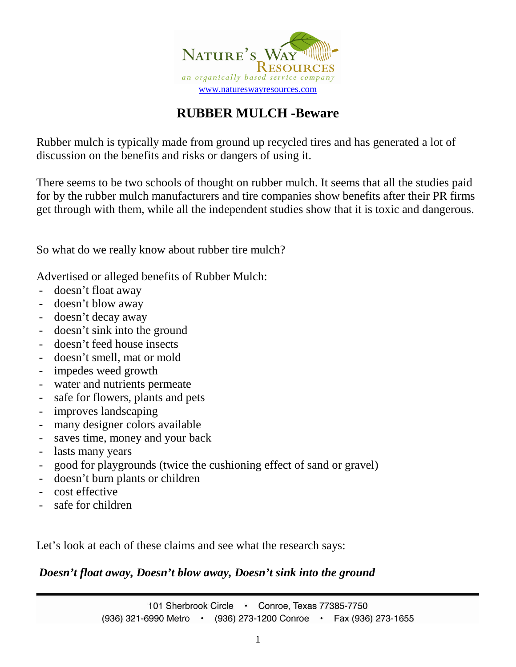

# **RUBBER MULCH -Beware**

Rubber mulch is typically made from ground up recycled tires and has generated a lot of discussion on the benefits and risks or dangers of using it.

There seems to be two schools of thought on rubber mulch. It seems that all the studies paid for by the rubber mulch manufacturers and tire companies show benefits after their PR firms get through with them, while all the independent studies show that it is toxic and dangerous.

So what do we really know about rubber tire mulch?

Advertised or alleged benefits of Rubber Mulch:

- doesn't float away
- doesn't blow away
- doesn't decay away
- doesn't sink into the ground
- doesn't feed house insects
- doesn't smell, mat or mold
- impedes weed growth
- water and nutrients permeate
- safe for flowers, plants and pets
- improves landscaping
- many designer colors available
- saves time, money and your back
- lasts many years
- good for playgrounds (twice the cushioning effect of sand or gravel)
- doesn't burn plants or children
- cost effective
- safe for children

Let's look at each of these claims and see what the research says:

*Doesn't float away, Doesn't blow away, Doesn't sink into the ground*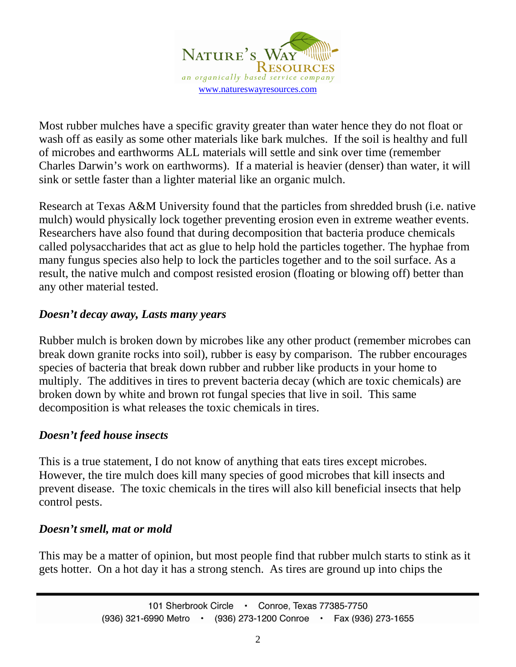

Most rubber mulches have a specific gravity greater than water hence they do not float or wash off as easily as some other materials like bark mulches. If the soil is healthy and full of microbes and earthworms ALL materials will settle and sink over time (remember Charles Darwin's work on earthworms). If a material is heavier (denser) than water, it will sink or settle faster than a lighter material like an organic mulch.

Research at Texas A&M University found that the particles from shredded brush (i.e. native mulch) would physically lock together preventing erosion even in extreme weather events. Researchers have also found that during decomposition that bacteria produce chemicals called polysaccharides that act as glue to help hold the particles together. The hyphae from many fungus species also help to lock the particles together and to the soil surface. As a result, the native mulch and compost resisted erosion (floating or blowing off) better than any other material tested.

# *Doesn't decay away, Lasts many years*

Rubber mulch is broken down by microbes like any other product (remember microbes can break down granite rocks into soil), rubber is easy by comparison. The rubber encourages species of bacteria that break down rubber and rubber like products in your home to multiply. The additives in tires to prevent bacteria decay (which are toxic chemicals) are broken down by white and brown rot fungal species that live in soil. This same decomposition is what releases the toxic chemicals in tires.

# *Doesn't feed house insects*

This is a true statement, I do not know of anything that eats tires except microbes. However, the tire mulch does kill many species of good microbes that kill insects and prevent disease. The toxic chemicals in the tires will also kill beneficial insects that help control pests.

#### *Doesn't smell, mat or mold*

This may be a matter of opinion, but most people find that rubber mulch starts to stink as it gets hotter. On a hot day it has a strong stench. As tires are ground up into chips the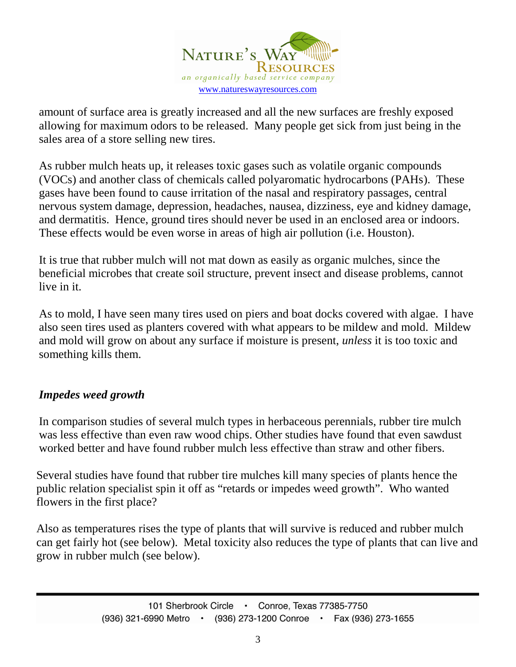

amount of surface area is greatly increased and all the new surfaces are freshly exposed allowing for maximum odors to be released. Many people get sick from just being in the sales area of a store selling new tires.

As rubber mulch heats up, it releases toxic gases such as volatile organic compounds (VOCs) and another class of chemicals called polyaromatic hydrocarbons (PAHs). These gases have been found to cause irritation of the nasal and respiratory passages, central nervous system damage, depression, headaches, nausea, dizziness, eye and kidney damage, and dermatitis. Hence, ground tires should never be used in an enclosed area or indoors. These effects would be even worse in areas of high air pollution (i.e. Houston).

It is true that rubber mulch will not mat down as easily as organic mulches, since the beneficial microbes that create soil structure, prevent insect and disease problems, cannot live in it.

As to mold, I have seen many tires used on piers and boat docks covered with algae. I have also seen tires used as planters covered with what appears to be mildew and mold. Mildew and mold will grow on about any surface if moisture is present, *unless* it is too toxic and something kills them.

# *Impedes weed growth*

In comparison studies of several mulch types in herbaceous perennials, rubber tire mulch was less effective than even raw wood chips. Other studies have found that even sawdust worked better and have found rubber mulch less effective than straw and other fibers.

Several studies have found that rubber tire mulches kill many species of plants hence the public relation specialist spin it off as "retards or impedes weed growth". Who wanted flowers in the first place?

Also as temperatures rises the type of plants that will survive is reduced and rubber mulch can get fairly hot (see below). Metal toxicity also reduces the type of plants that can live and grow in rubber mulch (see below).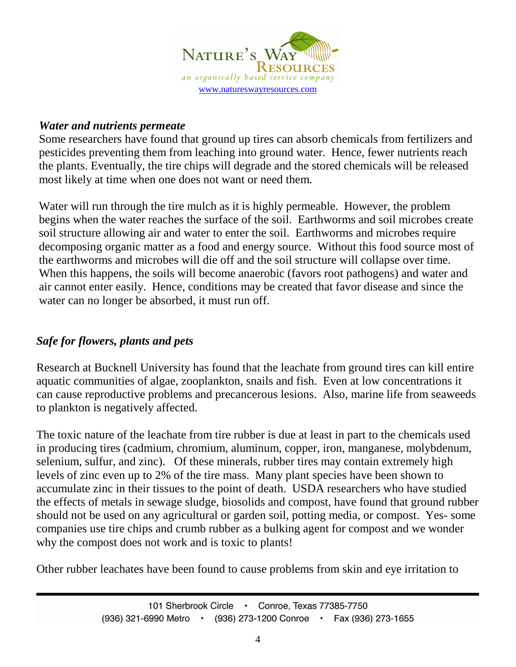

#### *Water and nutrients permeate*

Some researchers have found that ground up tires can absorb chemicals from fertilizers and pesticides preventing them from leaching into ground water. Hence, fewer nutrients reach the plants. Eventually, the tire chips will degrade and the stored chemicals will be released most likely at time when one does not want or need them.

Water will run through the tire mulch as it is highly permeable. However, the problem begins when the water reaches the surface of the soil. Earthworms and soil microbes create soil structure allowing air and water to enter the soil. Earthworms and microbes require decomposing organic matter as a food and energy source. Without this food source most of the earthworms and microbes will die off and the soil structure will collapse over time. When this happens, the soils will become anaerobic (favors root pathogens) and water and air cannot enter easily. Hence, conditions may be created that favor disease and since the water can no longer be absorbed, it must run off.

# *Safe for flowers, plants and pets*

Research at Bucknell University has found that the leachate from ground tires can kill entire aquatic communities of algae, zooplankton, snails and fish. Even at low concentrations it can cause reproductive problems and precancerous lesions. Also, marine life from seaweeds to plankton is negatively affected.

The toxic nature of the leachate from tire rubber is due at least in part to the chemicals used in producing tires (cadmium, chromium, aluminum, copper, iron, manganese, molybdenum, selenium, sulfur, and zinc). Of these minerals, rubber tires may contain extremely high levels of zinc even up to 2% of the tire mass. Many plant species have been shown to accumulate zinc in their tissues to the point of death. USDA researchers who have studied the effects of metals in sewage sludge, biosolids and compost, have found that ground rubber should not be used on any agricultural or garden soil, potting media, or compost. Yes- some companies use tire chips and crumb rubber as a bulking agent for compost and we wonder why the compost does not work and is toxic to plants!

Other rubber leachates have been found to cause problems from skin and eye irritation to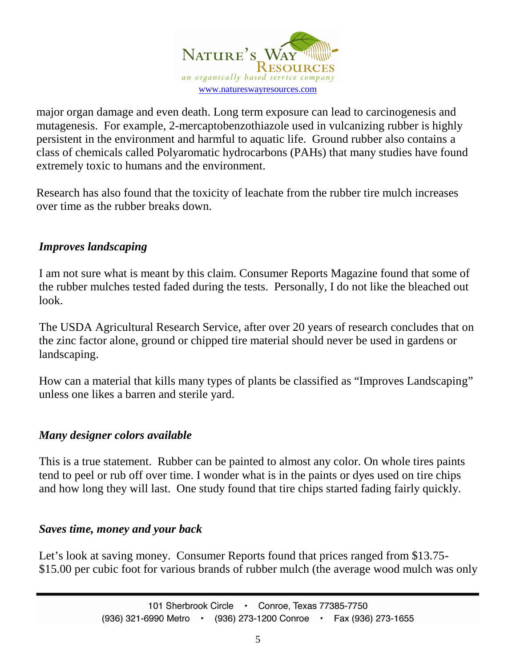

major organ damage and even death. Long term exposure can lead to carcinogenesis and mutagenesis. For example, 2-mercaptobenzothiazole used in vulcanizing rubber is highly persistent in the environment and harmful to aquatic life. Ground rubber also contains a class of chemicals called Polyaromatic hydrocarbons (PAHs) that many studies have found extremely toxic to humans and the environment.

Research has also found that the toxicity of leachate from the rubber tire mulch increases over time as the rubber breaks down.

# *Improves landscaping*

I am not sure what is meant by this claim. Consumer Reports Magazine found that some of the rubber mulches tested faded during the tests. Personally, I do not like the bleached out look.

The USDA Agricultural Research Service, after over 20 years of research concludes that on the zinc factor alone, ground or chipped tire material should never be used in gardens or landscaping.

How can a material that kills many types of plants be classified as "Improves Landscaping" unless one likes a barren and sterile yard.

# *Many designer colors available*

This is a true statement. Rubber can be painted to almost any color. On whole tires paints tend to peel or rub off over time. I wonder what is in the paints or dyes used on tire chips and how long they will last. One study found that tire chips started fading fairly quickly.

#### *Saves time, money and your back*

Let's look at saving money. Consumer Reports found that prices ranged from \$13.75- \$15.00 per cubic foot for various brands of rubber mulch (the average wood mulch was only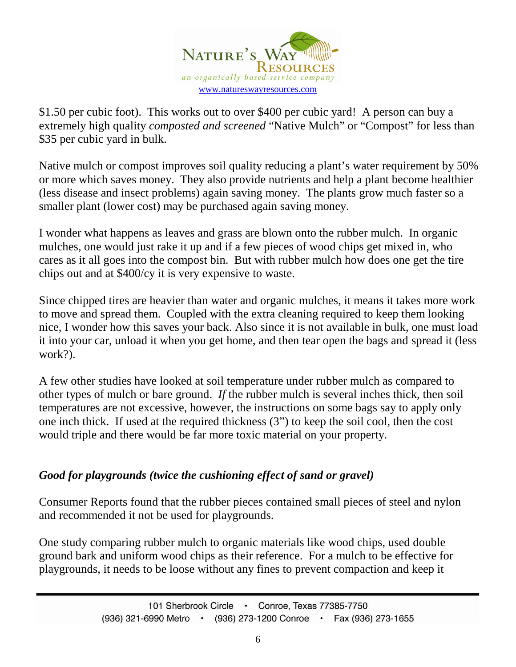

\$1.50 per cubic foot). This works out to over \$400 per cubic yard! A person can buy a extremely high quality *composted and screened* "Native Mulch" or "Compost" for less than \$35 per cubic yard in bulk.

Native mulch or compost improves soil quality reducing a plant's water requirement by 50% or more which saves money. They also provide nutrients and help a plant become healthier (less disease and insect problems) again saving money. The plants grow much faster so a smaller plant (lower cost) may be purchased again saving money.

I wonder what happens as leaves and grass are blown onto the rubber mulch. In organic mulches, one would just rake it up and if a few pieces of wood chips get mixed in, who cares as it all goes into the compost bin. But with rubber mulch how does one get the tire chips out and at \$400/cy it is very expensive to waste.

Since chipped tires are heavier than water and organic mulches, it means it takes more work to move and spread them. Coupled with the extra cleaning required to keep them looking nice, I wonder how this saves your back. Also since it is not available in bulk, one must load it into your car, unload it when you get home, and then tear open the bags and spread it (less work?).

A few other studies have looked at soil temperature under rubber mulch as compared to other types of mulch or bare ground. *If* the rubber mulch is several inches thick, then soil temperatures are not excessive, however, the instructions on some bags say to apply only one inch thick. If used at the required thickness (3") to keep the soil cool, then the cost would triple and there would be far more toxic material on your property.

# *Good for playgrounds (twice the cushioning effect of sand or gravel)*

Consumer Reports found that the rubber pieces contained small pieces of steel and nylon and recommended it not be used for playgrounds.

One study comparing rubber mulch to organic materials like wood chips, used double ground bark and uniform wood chips as their reference. For a mulch to be effective for playgrounds, it needs to be loose without any fines to prevent compaction and keep it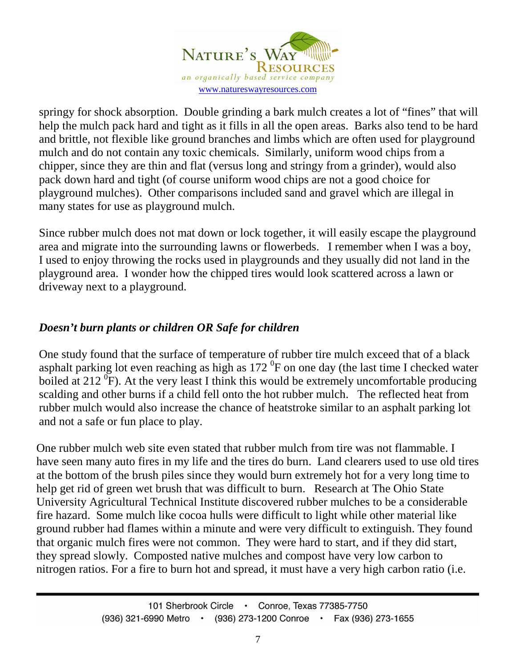

springy for shock absorption. Double grinding a bark mulch creates a lot of "fines" that will help the mulch pack hard and tight as it fills in all the open areas. Barks also tend to be hard and brittle, not flexible like ground branches and limbs which are often used for playground mulch and do not contain any toxic chemicals. Similarly, uniform wood chips from a chipper, since they are thin and flat (versus long and stringy from a grinder), would also pack down hard and tight (of course uniform wood chips are not a good choice for playground mulches). Other comparisons included sand and gravel which are illegal in many states for use as playground mulch.

Since rubber mulch does not mat down or lock together, it will easily escape the playground area and migrate into the surrounding lawns or flowerbeds. I remember when I was a boy, I used to enjoy throwing the rocks used in playgrounds and they usually did not land in the playground area. I wonder how the chipped tires would look scattered across a lawn or driveway next to a playground.

# *Doesn't burn plants or children OR Safe for children*

One study found that the surface of temperature of rubber tire mulch exceed that of a black asphalt parking lot even reaching as high as  $172<sup>0</sup>F$  on one day (the last time I checked water boiled at 212  $\overline{P}$ . At the very least I think this would be extremely uncomfortable producing scalding and other burns if a child fell onto the hot rubber mulch. The reflected heat from rubber mulch would also increase the chance of heatstroke similar to an asphalt parking lot and not a safe or fun place to play.

One rubber mulch web site even stated that rubber mulch from tire was not flammable. I have seen many auto fires in my life and the tires do burn. Land clearers used to use old tires at the bottom of the brush piles since they would burn extremely hot for a very long time to help get rid of green wet brush that was difficult to burn. Research at The Ohio State University Agricultural Technical Institute discovered rubber mulches to be a considerable fire hazard. Some mulch like cocoa hulls were difficult to light while other material like ground rubber had flames within a minute and were very difficult to extinguish. They found that organic mulch fires were not common. They were hard to start, and if they did start, they spread slowly. Composted native mulches and compost have very low carbon to nitrogen ratios. For a fire to burn hot and spread, it must have a very high carbon ratio (i.e.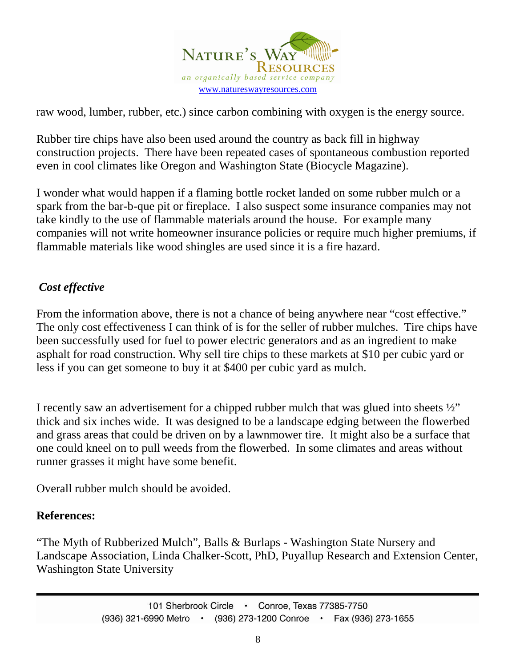

raw wood, lumber, rubber, etc.) since carbon combining with oxygen is the energy source.

Rubber tire chips have also been used around the country as back fill in highway construction projects. There have been repeated cases of spontaneous combustion reported even in cool climates like Oregon and Washington State (Biocycle Magazine).

I wonder what would happen if a flaming bottle rocket landed on some rubber mulch or a spark from the bar-b-que pit or fireplace. I also suspect some insurance companies may not take kindly to the use of flammable materials around the house. For example many companies will not write homeowner insurance policies or require much higher premiums, if flammable materials like wood shingles are used since it is a fire hazard.

# *Cost effective*

From the information above, there is not a chance of being anywhere near "cost effective." The only cost effectiveness I can think of is for the seller of rubber mulches. Tire chips have been successfully used for fuel to power electric generators and as an ingredient to make asphalt for road construction. Why sell tire chips to these markets at \$10 per cubic yard or less if you can get someone to buy it at \$400 per cubic yard as mulch.

I recently saw an advertisement for a chipped rubber mulch that was glued into sheets  $\frac{1}{2}$ " thick and six inches wide. It was designed to be a landscape edging between the flowerbed and grass areas that could be driven on by a lawnmower tire. It might also be a surface that one could kneel on to pull weeds from the flowerbed. In some climates and areas without runner grasses it might have some benefit.

Overall rubber mulch should be avoided.

# **References:**

"The Myth of Rubberized Mulch", Balls & Burlaps - Washington State Nursery and Landscape Association, Linda Chalker-Scott, PhD, Puyallup Research and Extension Center, Washington State University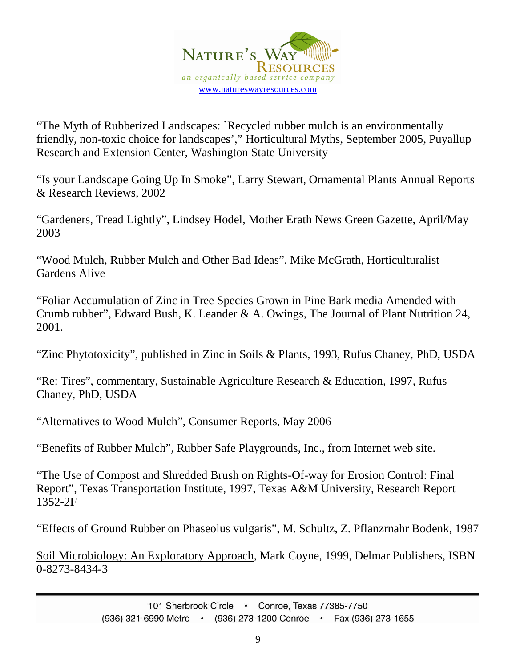

"The Myth of Rubberized Landscapes: `Recycled rubber mulch is an environmentally friendly, non-toxic choice for landscapes'," Horticultural Myths, September 2005, Puyallup Research and Extension Center, Washington State University

"Is your Landscape Going Up In Smoke", Larry Stewart, Ornamental Plants Annual Reports & Research Reviews, 2002

"Gardeners, Tread Lightly", Lindsey Hodel, Mother Erath News Green Gazette, April/May 2003

"Wood Mulch, Rubber Mulch and Other Bad Ideas", Mike McGrath, Horticulturalist Gardens Alive

"Foliar Accumulation of Zinc in Tree Species Grown in Pine Bark media Amended with Crumb rubber", Edward Bush, K. Leander & A. Owings, The Journal of Plant Nutrition 24, 2001.

"Zinc Phytotoxicity", published in Zinc in Soils & Plants, 1993, Rufus Chaney, PhD, USDA

"Re: Tires", commentary, Sustainable Agriculture Research & Education, 1997, Rufus Chaney, PhD, USDA

"Alternatives to Wood Mulch", Consumer Reports, May 2006

"Benefits of Rubber Mulch", Rubber Safe Playgrounds, Inc., from Internet web site.

"The Use of Compost and Shredded Brush on Rights-Of-way for Erosion Control: Final Report", Texas Transportation Institute, 1997, Texas A&M University, Research Report 1352-2F

"Effects of Ground Rubber on Phaseolus vulgaris", M. Schultz, Z. Pflanzrnahr Bodenk, 1987

Soil Microbiology: An Exploratory Approach, Mark Coyne, 1999, Delmar Publishers, ISBN 0-8273-8434-3